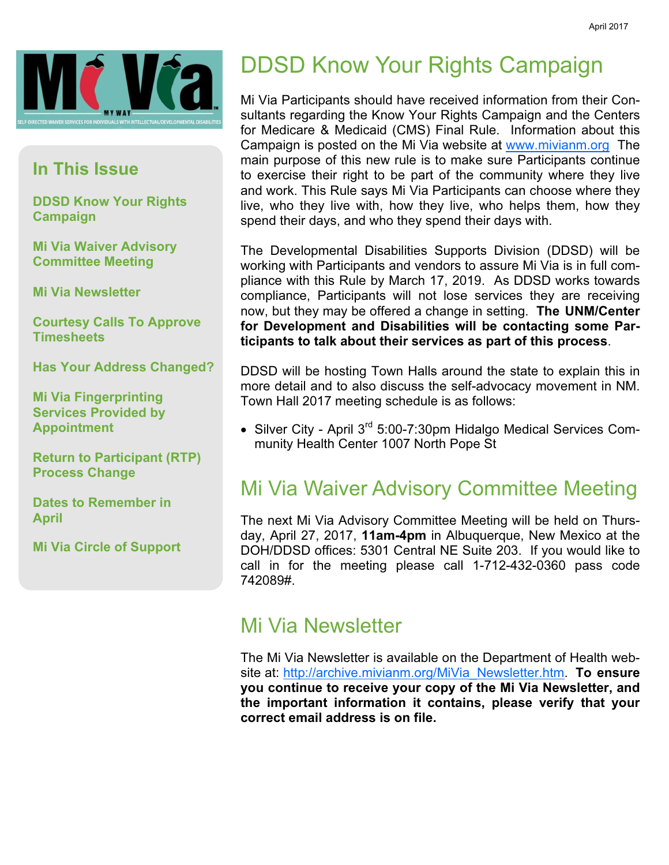

#### In This Issue

DDSD Know Your Rights **Campaign** 

Mi Via Waiver Advisory Committee Meeting

Mi Via Newsletter

Courtesy Calls To Approve **Timesheets** 

Has Your Address Changed?

Mi Via Fingerprinting Services Provided by Appointment

Return to Participant (RTP) Process Change

Dates to Remember in April

Mi Via Circle of Support

# DDSD Know Your Rights Campaign

Mi Via Participants should have received information from their Consultants regarding the Know Your Rights Campaign and the Centers for Medicare & Medicaid (CMS) Final Rule. Information about this Campaign is posted on the Mi Via website at www.mivianm.org The main purpose of this new rule is to make sure Participants continue to exercise their right to be part of the community where they live and work. This Rule says Mi Via Participants can choose where they live, who they live with, how they live, who helps them, how they spend their days, and who they spend their days with.

The Developmental Disabilities Supports Division (DDSD) will be working with Participants and vendors to assure Mi Via is in full compliance with this Rule by March 17, 2019. As DDSD works towards compliance, Participants will not lose services they are receiving now, but they may be offered a change in setting. The UNM/Center for Development and Disabilities will be contacting some Participants to talk about their services as part of this process.

DDSD will be hosting Town Halls around the state to explain this in more detail and to also discuss the self-advocacy movement in NM. Town Hall 2017 meeting schedule is as follows:

• Silver City - April 3<sup>rd</sup> 5:00-7:30pm Hidalgo Medical Services Community Health Center 1007 North Pope St

### Mi Via Waiver Advisory Committee Meeting

The next Mi Via Advisory Committee Meeting will be held on Thursday, April 27, 2017, 11am-4pm in Albuquerque, New Mexico at the DOH/DDSD offices: 5301 Central NE Suite 203. If you would like to call in for the meeting please call 1-712-432-0360 pass code 742089#.

### Mi Via Newsletter

The Mi Via Newsletter is available on the Department of Health website at: http://archive.mivianm.org/MiVia\_Newsletter.htm. To ensure you continue to receive your copy of the Mi Via Newsletter, and the important information it contains, please verify that your correct email address is on file.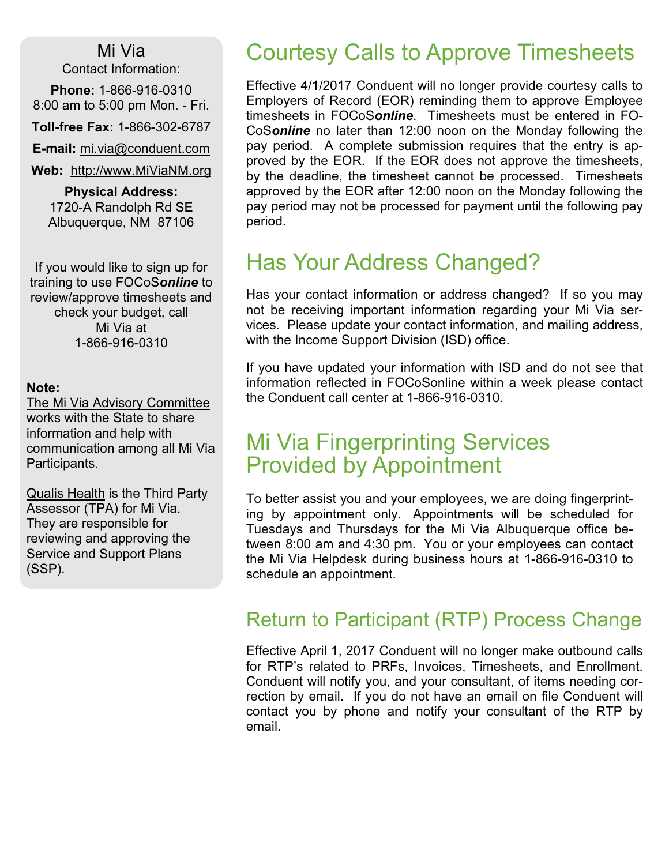#### Mi Via

Contact Information:

Phone: 1-866-916-0310 8:00 am to 5:00 pm Mon. - Fri.

Toll-free Fax: 1-866-302-6787

E-mail: mi.via@conduent.com

Web: http://www.MiViaNM.org

Physical Address: 1720-A Randolph Rd SE Albuquerque, NM 87106

If you would like to sign up for training to use FOCoSonline to review/approve timesheets and check your budget, call Mi Via at 1-866-916-0310

#### Note:

The Mi Via Advisory Committee works with the State to share information and help with communication among all Mi Via Participants.

Qualis Health is the Third Party Assessor (TPA) for Mi Via. They are responsible for reviewing and approving the Service and Support Plans (SSP).

## Courtesy Calls to Approve Timesheets

Effective 4/1/2017 Conduent will no longer provide courtesy calls to Employers of Record (EOR) reminding them to approve Employee timesheets in FOCoSonline. Timesheets must be entered in FO-CoSonline no later than 12:00 noon on the Monday following the pay period. A complete submission requires that the entry is approved by the EOR. If the EOR does not approve the timesheets, by the deadline, the timesheet cannot be processed. Timesheets approved by the EOR after 12:00 noon on the Monday following the pay period may not be processed for payment until the following pay period.

## Has Your Address Changed?

Has your contact information or address changed? If so you may not be receiving important information regarding your Mi Via services. Please update your contact information, and mailing address, with the Income Support Division (ISD) office.

If you have updated your information with ISD and do not see that information reflected in FOCoSonline within a week please contact the Conduent call center at 1-866-916-0310.

## Mi Via Fingerprinting Services Provided by Appointment

To better assist you and your employees, we are doing fingerprinting by appointment only. Appointments will be scheduled for Tuesdays and Thursdays for the Mi Via Albuquerque office between 8:00 am and 4:30 pm. You or your employees can contact the Mi Via Helpdesk during business hours at 1-866-916-0310 to schedule an appointment.

### Return to Participant (RTP) Process Change

Effective April 1, 2017 Conduent will no longer make outbound calls for RTP's related to PRFs, Invoices, Timesheets, and Enrollment. Conduent will notify you, and your consultant, of items needing correction by email. If you do not have an email on file Conduent will contact you by phone and notify your consultant of the RTP by email.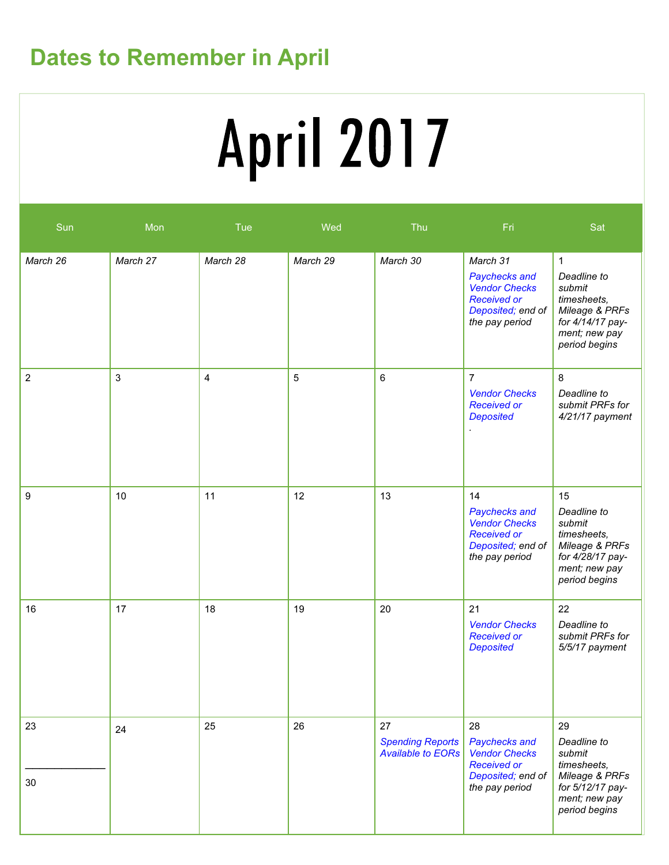# Dates to Remember in April

# **April 2017**

| Sun              | Mon      | Tue      | Wed      | Thu                                                       | Fri                                                                                                            | Sat                                                                                                                          |
|------------------|----------|----------|----------|-----------------------------------------------------------|----------------------------------------------------------------------------------------------------------------|------------------------------------------------------------------------------------------------------------------------------|
| March 26         | March 27 | March 28 | March 29 | March 30                                                  | March 31<br>Paychecks and<br><b>Vendor Checks</b><br><b>Received or</b><br>Deposited; end of<br>the pay period | $\mathbf{1}$<br>Deadline to<br>submit<br>timesheets,<br>Mileage & PRFs<br>for 4/14/17 pay-<br>ment; new pay<br>period begins |
| $\overline{2}$   | 3        | 4        | 5        | $\,6$                                                     | $\overline{7}$<br><b>Vendor Checks</b><br><b>Received or</b><br><b>Deposited</b>                               | 8<br>Deadline to<br>submit PRFs for<br>4/21/17 payment                                                                       |
| $\boldsymbol{9}$ | 10       | 11       | 12       | 13                                                        | 14<br>Paychecks and<br><b>Vendor Checks</b><br><b>Received or</b><br>Deposited; end of<br>the pay period       | 15<br>Deadline to<br>submit<br>timesheets,<br>Mileage & PRFs<br>for 4/28/17 pay-<br>ment; new pay<br>period begins           |
| 16               | 17       | 18       | 19       | 20                                                        | 21<br><b>Vendor Checks</b><br><b>Received or</b><br><b>Deposited</b>                                           | 22<br>Deadline to<br>submit PRFs for<br>5/5/17 payment                                                                       |
| 23<br>30         | 24       | 25       | 26       | 27<br><b>Spending Reports</b><br><b>Available to EORs</b> | 28<br>Paychecks and<br><b>Vendor Checks</b><br><b>Received or</b><br>Deposited; end of<br>the pay period       | 29<br>Deadline to<br>submit<br>timesheets,<br>Mileage & PRFs<br>for 5/12/17 pay-<br>ment; new pay<br>period begins           |